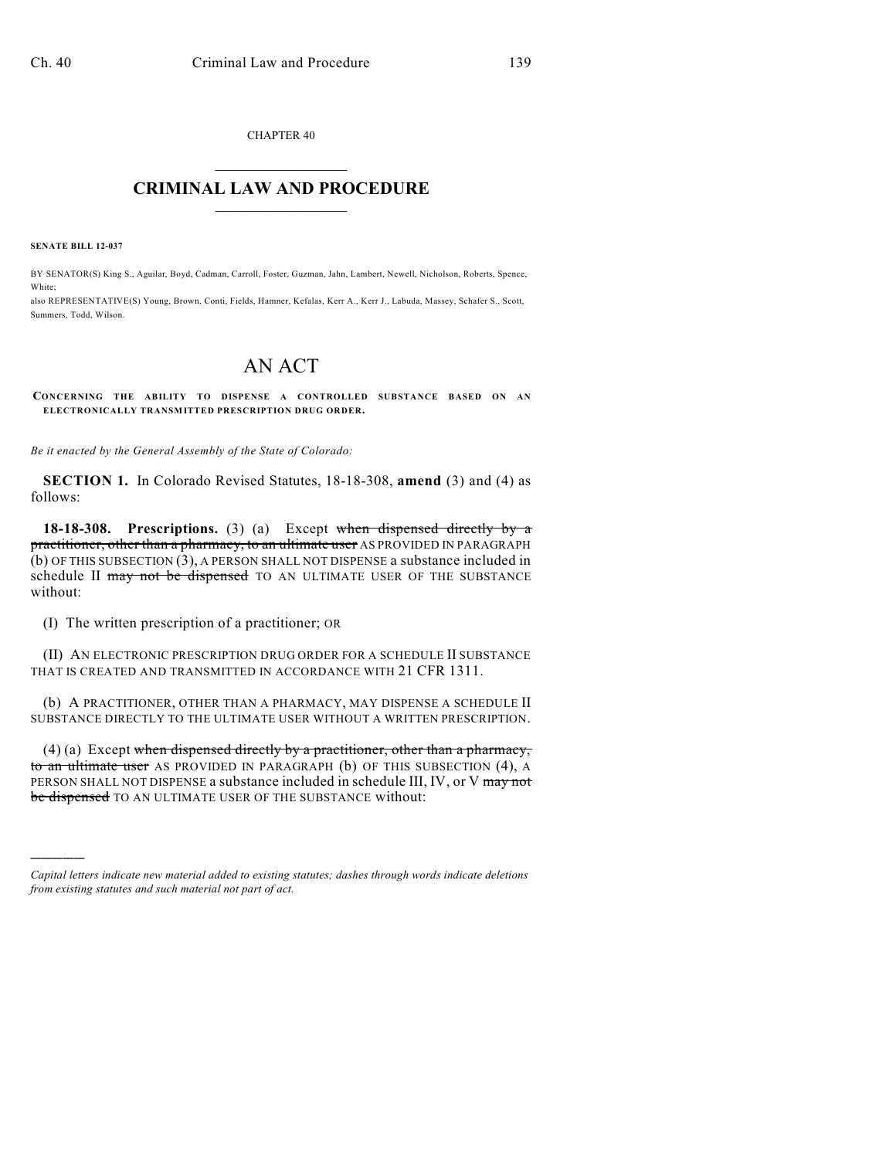CHAPTER 40  $\mathcal{L}_\text{max}$  . The set of the set of the set of the set of the set of the set of the set of the set of the set of the set of the set of the set of the set of the set of the set of the set of the set of the set of the set

## **CRIMINAL LAW AND PROCEDURE**  $\frac{1}{2}$  ,  $\frac{1}{2}$  ,  $\frac{1}{2}$  ,  $\frac{1}{2}$  ,  $\frac{1}{2}$  ,  $\frac{1}{2}$  ,  $\frac{1}{2}$

**SENATE BILL 12-037**

)))))

BY SENATOR(S) King S., Aguilar, Boyd, Cadman, Carroll, Foster, Guzman, Jahn, Lambert, Newell, Nicholson, Roberts, Spence, White;

also REPRESENTATIVE(S) Young, Brown, Conti, Fields, Hamner, Kefalas, Kerr A., Kerr J., Labuda, Massey, Schafer S., Scott, Summers, Todd, Wilson.

## AN ACT

**CONCERNING THE ABILITY TO DISPENSE A CONTROLLED SUBSTANCE BASED ON AN ELECTRONICALLY TRANSMITTED PRESCRIPTION DRUG ORDER.**

*Be it enacted by the General Assembly of the State of Colorado:*

**SECTION 1.** In Colorado Revised Statutes, 18-18-308, **amend** (3) and (4) as follows:

**18-18-308. Prescriptions.** (3) (a) Except when dispensed directly by a practitioner, other than a pharmacy, to an ultimate user AS PROVIDED IN PARAGRAPH (b) OF THIS SUBSECTION (3), A PERSON SHALL NOT DISPENSE a substance included in schedule II may not be dispensed TO AN ULTIMATE USER OF THE SUBSTANCE without:

(I) The written prescription of a practitioner; OR

(II) AN ELECTRONIC PRESCRIPTION DRUG ORDER FOR A SCHEDULE II SUBSTANCE THAT IS CREATED AND TRANSMITTED IN ACCORDANCE WITH 21 CFR 1311.

(b) A PRACTITIONER, OTHER THAN A PHARMACY, MAY DISPENSE A SCHEDULE II SUBSTANCE DIRECTLY TO THE ULTIMATE USER WITHOUT A WRITTEN PRESCRIPTION.

 $(4)$  (a) Except when dispensed directly by a practitioner, other than a pharmacy, to an ultimate user AS PROVIDED IN PARAGRAPH (b) OF THIS SUBSECTION (4), A PERSON SHALL NOT DISPENSE a substance included in schedule III, IV, or V may not be dispensed TO AN ULTIMATE USER OF THE SUBSTANCE without:

*Capital letters indicate new material added to existing statutes; dashes through words indicate deletions from existing statutes and such material not part of act.*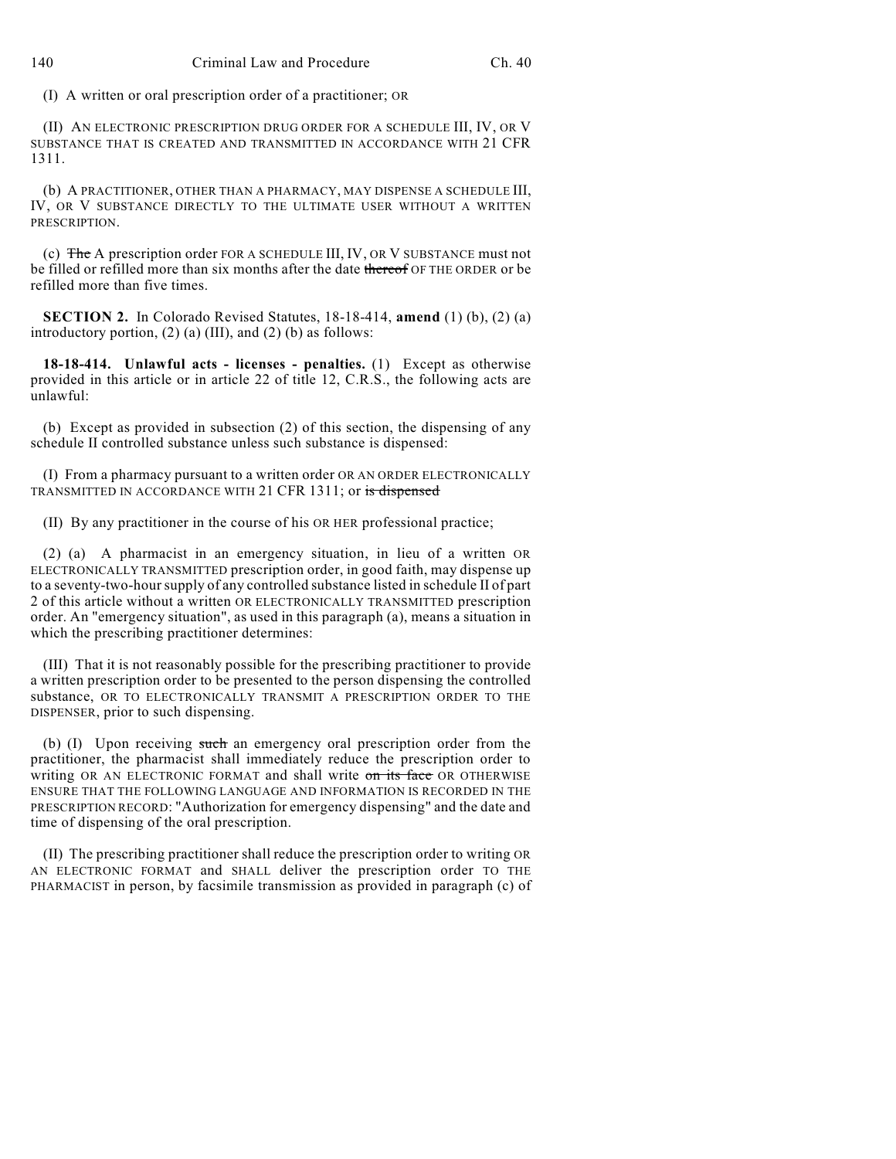(I) A written or oral prescription order of a practitioner; OR

(II) AN ELECTRONIC PRESCRIPTION DRUG ORDER FOR A SCHEDULE III, IV, OR V SUBSTANCE THAT IS CREATED AND TRANSMITTED IN ACCORDANCE WITH 21 CFR 1311.

(b) A PRACTITIONER, OTHER THAN A PHARMACY, MAY DISPENSE A SCHEDULE III, IV, OR V SUBSTANCE DIRECTLY TO THE ULTIMATE USER WITHOUT A WRITTEN PRESCRIPTION.

(c) The A prescription order FOR A SCHEDULE III, IV, OR V SUBSTANCE must not be filled or refilled more than six months after the date thereof OF THE ORDER or be refilled more than five times.

**SECTION 2.** In Colorado Revised Statutes, 18-18-414, **amend** (1) (b), (2) (a) introductory portion,  $(2)$  (a) (III), and  $(2)$  (b) as follows:

**18-18-414. Unlawful acts - licenses - penalties.** (1) Except as otherwise provided in this article or in article 22 of title 12, C.R.S., the following acts are unlawful:

(b) Except as provided in subsection (2) of this section, the dispensing of any schedule II controlled substance unless such substance is dispensed:

(I) From a pharmacy pursuant to a written order OR AN ORDER ELECTRONICALLY TRANSMITTED IN ACCORDANCE WITH 21 CFR 1311; or is dispensed

(II) By any practitioner in the course of his OR HER professional practice;

(2) (a) A pharmacist in an emergency situation, in lieu of a written OR ELECTRONICALLY TRANSMITTED prescription order, in good faith, may dispense up to a seventy-two-hoursupply of any controlled substance listed in schedule II of part 2 of this article without a written OR ELECTRONICALLY TRANSMITTED prescription order. An "emergency situation", as used in this paragraph (a), means a situation in which the prescribing practitioner determines:

(III) That it is not reasonably possible for the prescribing practitioner to provide a written prescription order to be presented to the person dispensing the controlled substance, OR TO ELECTRONICALLY TRANSMIT A PRESCRIPTION ORDER TO THE DISPENSER, prior to such dispensing.

(b) (I) Upon receiving such an emergency oral prescription order from the practitioner, the pharmacist shall immediately reduce the prescription order to writing OR AN ELECTRONIC FORMAT and shall write on its face OR OTHERWISE ENSURE THAT THE FOLLOWING LANGUAGE AND INFORMATION IS RECORDED IN THE PRESCRIPTION RECORD: "Authorization for emergency dispensing" and the date and time of dispensing of the oral prescription.

(II) The prescribing practitioner shall reduce the prescription order to writing OR AN ELECTRONIC FORMAT and SHALL deliver the prescription order TO THE PHARMACIST in person, by facsimile transmission as provided in paragraph (c) of